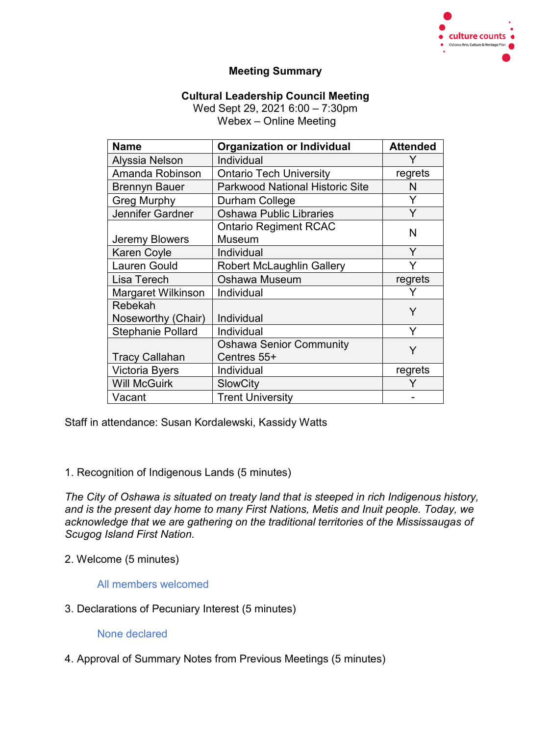

# **Meeting Summary**

# **Cultural Leadership Council Meeting**

Wed Sept 29, 2021 6:00 – 7:30pm Webex – Online Meeting

| <b>Name</b>              | <b>Organization or Individual</b>      | <b>Attended</b> |
|--------------------------|----------------------------------------|-----------------|
| Alyssia Nelson           | Individual                             | Y               |
| Amanda Robinson          | <b>Ontario Tech University</b>         | regrets         |
| <b>Brennyn Bauer</b>     | <b>Parkwood National Historic Site</b> | N               |
| <b>Greg Murphy</b>       | Durham College                         | Y               |
| Jennifer Gardner         | <b>Oshawa Public Libraries</b>         | Y               |
|                          | <b>Ontario Regiment RCAC</b>           | N               |
| Jeremy Blowers           | <b>Museum</b>                          |                 |
| <b>Karen Coyle</b>       | Individual                             | Y               |
| <b>Lauren Gould</b>      | <b>Robert McLaughlin Gallery</b>       |                 |
| Lisa Terech              | <b>Oshawa Museum</b>                   | regrets         |
| Margaret Wilkinson       | Individual                             |                 |
| Rebekah                  |                                        | Y               |
| Noseworthy (Chair)       | Individual                             |                 |
| <b>Stephanie Pollard</b> | Individual                             | Y               |
|                          | <b>Oshawa Senior Community</b>         | Y               |
| <b>Tracy Callahan</b>    | Centres 55+                            |                 |
| Victoria Byers           | Individual                             | regrets         |
| <b>Will McGuirk</b>      | <b>SlowCity</b>                        |                 |
| Vacant                   | <b>Trent University</b>                |                 |

Staff in attendance: Susan Kordalewski, Kassidy Watts

1. Recognition of Indigenous Lands (5 minutes)

*The City of Oshawa is situated on treaty land that is steeped in rich Indigenous history, and is the present day home to many First Nations, Metis and Inuit people. Today, we acknowledge that we are gathering on the traditional territories of the Mississaugas of Scugog Island First Nation.*

2. Welcome (5 minutes)

All members welcomed

3. Declarations of Pecuniary Interest (5 minutes)

None declared

4. Approval of Summary Notes from Previous Meetings (5 minutes)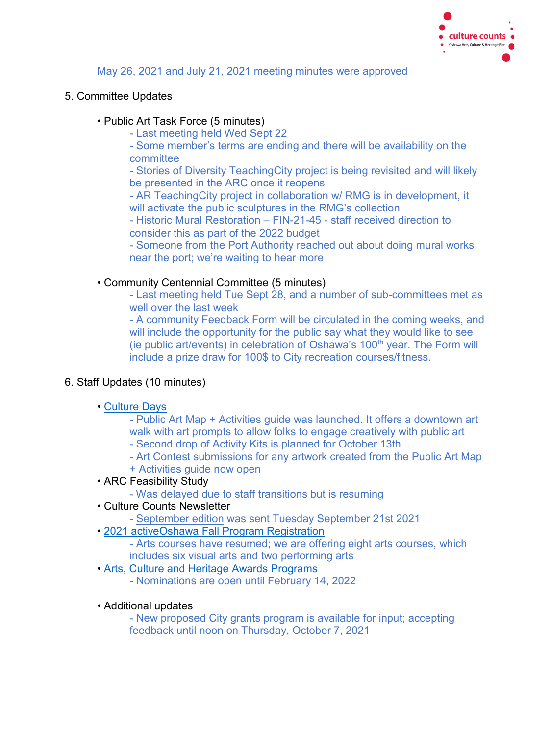

# May 26, 2021 and July 21, 2021 meeting minutes were approved

### 5. Committee Updates

#### • Public Art Task Force (5 minutes)

- Last meeting held Wed Sept 22

- Some member's terms are ending and there will be availability on the committee

- Stories of Diversity TeachingCity project is being revisited and will likely be presented in the ARC once it reopens

- AR TeachingCity project in collaboration w/ RMG is in development, it will activate the public sculptures in the RMG's collection

- Historic Mural Restoration – FIN-21-45 - staff received direction to consider this as part of the 2022 budget

- Someone from the Port Authority reached out about doing mural works near the port; we're waiting to hear more

#### • Community Centennial Committee (5 minutes)

- Last meeting held Tue Sept 28, and a number of sub-committees met as well over the last week

- A community Feedback Form will be circulated in the coming weeks, and will include the opportunity for the public say what they would like to see (ie public art/events) in celebration of Oshawa's  $100<sup>th</sup>$  year. The Form will include a prize draw for 100\$ to City recreation courses/fitness.

# 6. Staff Updates (10 minutes)

#### • [Culture Days](https://www.oshawa.ca/things-to-do/Culture-Days-Culture-Days-Open-House.asp)

- Public Art Map + Activities guide was launched. It offers a downtown art walk with art prompts to allow folks to engage creatively with public art

- Second drop of Activity Kits is planned for October 13th
- Art Contest submissions for any artwork created from the Public Art Map
- + Activities guide now open
- ARC Feasibility Study
	- Was delayed due to staff transitions but is resuming
- Culture Counts Newsletter
	- - [September edition](https://conta.cc/3lHjdqd) was sent Tuesday September 21st 2021
- • [2021 activeOshawa Fall Program Registration](https://register.oshawa.ca/OSHAWA/public/category/browse/PRFALL2021)
	- Arts courses have resumed; we are offering eight arts courses, which includes six visual arts and two performing arts
- • [Arts, Culture and Heritage Awards Programs](https://www.oshawa.ca/things-to-do/arts-culture-and-heritage-awards-programs.asp)
	- Nominations are open until February 14, 2022
- Additional updates

- New proposed City grants program is available for input; accepting feedback until noon on Thursday, October 7, 2021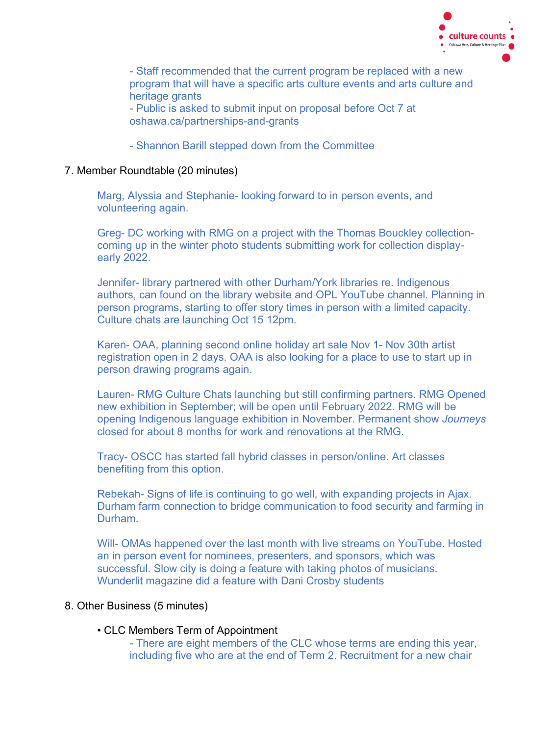

- Staff recommended that the current program be replaced with a new program that will have a specific arts culture events and arts culture and heritage grants - Public is asked to submit input on proposal before Oct 7 at

oshawa.ca/partnerships-and-grants

- Shannon Barill stepped down from the Committee

#### 7. Member Roundtable (20 minutes)

Marg, Alyssia and Stephanie- looking forward to in person events, and volunteering again.

Greg- DC working with RMG on a project with the Thomas Bouckley collectioncoming up in the winter photo students submitting work for collection displayearly 2022.

Jennifer- library partnered with other Durham/York libraries re. Indigenous authors, can found on the library website and OPL YouTube channel. Planning in person programs, starting to offer story times in person with a limited capacity. Culture chats are launching Oct 15 12pm.

Karen- OAA, planning second online holiday art sale Nov 1- Nov 30th artist registration open in 2 days. OAA is also looking for a place to use to start up in person drawing programs again.

Lauren- RMG Culture Chats launching but still confirming partners. RMG Opened new exhibition in September; will be open until February 2022. RMG will be opening Indigenous language exhibition in November. Permanent show *Journeys* closed for about 8 months for work and renovations at the RMG.

Tracy- OSCC has started fall hybrid classes in person/online. Art classes benefiting from this option.

Rebekah- Signs of life is continuing to go well, with expanding projects in Ajax. Durham farm connection to bridge communication to food security and farming in Durham.

Will- OMAs happened over the last month with live streams on YouTube. Hosted an in person event for nominees, presenters, and sponsors, which was successful. Slow city is doing a feature with taking photos of musicians. Wunderlit magazine did a feature with Dani Crosby students

#### 8. Other Business (5 minutes)

• CLC Members Term of Appointment

- There are eight members of the CLC whose terms are ending this year, including five who are at the end of Term 2. Recruitment for a new chair